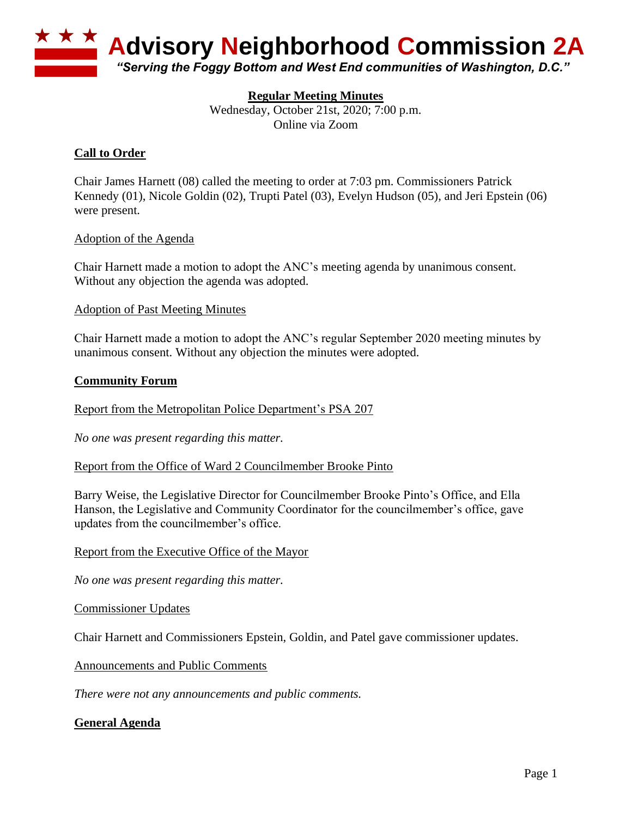

# **Regular Meeting Minutes**

Wednesday, October 21st, 2020; 7:00 p.m. Online via Zoom

# **Call to Order**

Chair James Harnett (08) called the meeting to order at 7:03 pm. Commissioners Patrick Kennedy (01), Nicole Goldin (02), Trupti Patel (03), Evelyn Hudson (05), and Jeri Epstein (06) were present.

#### Adoption of the Agenda

Chair Harnett made a motion to adopt the ANC's meeting agenda by unanimous consent. Without any objection the agenda was adopted.

Adoption of Past Meeting Minutes

Chair Harnett made a motion to adopt the ANC's regular September 2020 meeting minutes by unanimous consent. Without any objection the minutes were adopted.

#### **Community Forum**

Report from the Metropolitan Police Department's PSA 207

*No one was present regarding this matter.*

Report from the Office of Ward 2 Councilmember Brooke Pinto

Barry Weise, the Legislative Director for Councilmember Brooke Pinto's Office, and Ella Hanson, the Legislative and Community Coordinator for the councilmember's office, gave updates from the councilmember's office.

Report from the Executive Office of the Mayor

*No one was present regarding this matter.*

Commissioner Updates

Chair Harnett and Commissioners Epstein, Goldin, and Patel gave commissioner updates.

Announcements and Public Comments

*There were not any announcements and public comments.*

### **General Agenda**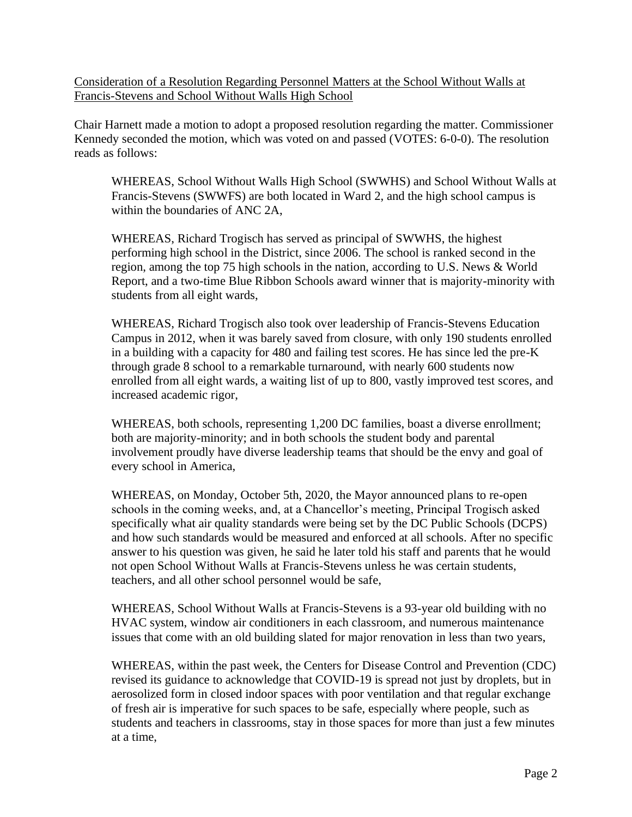Consideration of a Resolution Regarding Personnel Matters at the School Without Walls at Francis-Stevens and School Without Walls High School

Chair Harnett made a motion to adopt a proposed resolution regarding the matter. Commissioner Kennedy seconded the motion, which was voted on and passed (VOTES: 6-0-0). The resolution reads as follows:

WHEREAS, School Without Walls High School (SWWHS) and School Without Walls at Francis-Stevens (SWWFS) are both located in Ward 2, and the high school campus is within the boundaries of ANC 2A,

WHEREAS, Richard Trogisch has served as principal of SWWHS, the highest performing high school in the District, since 2006. The school is ranked second in the region, among the top 75 high schools in the nation, according to U.S. News & World Report, and a two-time Blue Ribbon Schools award winner that is majority-minority with students from all eight wards,

WHEREAS, Richard Trogisch also took over leadership of Francis-Stevens Education Campus in 2012, when it was barely saved from closure, with only 190 students enrolled in a building with a capacity for 480 and failing test scores. He has since led the pre-K through grade 8 school to a remarkable turnaround, with nearly 600 students now enrolled from all eight wards, a waiting list of up to 800, vastly improved test scores, and increased academic rigor,

WHEREAS, both schools, representing 1,200 DC families, boast a diverse enrollment; both are majority-minority; and in both schools the student body and parental involvement proudly have diverse leadership teams that should be the envy and goal of every school in America,

WHEREAS, on Monday, October 5th, 2020, the Mayor announced plans to re-open schools in the coming weeks, and, at a Chancellor's meeting, Principal Trogisch asked specifically what air quality standards were being set by the DC Public Schools (DCPS) and how such standards would be measured and enforced at all schools. After no specific answer to his question was given, he said he later told his staff and parents that he would not open School Without Walls at Francis-Stevens unless he was certain students, teachers, and all other school personnel would be safe,

WHEREAS, School Without Walls at Francis-Stevens is a 93-year old building with no HVAC system, window air conditioners in each classroom, and numerous maintenance issues that come with an old building slated for major renovation in less than two years,

WHEREAS, within the past week, the Centers for Disease Control and Prevention (CDC) revised its guidance to acknowledge that COVID-19 is spread not just by droplets, but in aerosolized form in closed indoor spaces with poor ventilation and that regular exchange of fresh air is imperative for such spaces to be safe, especially where people, such as students and teachers in classrooms, stay in those spaces for more than just a few minutes at a time,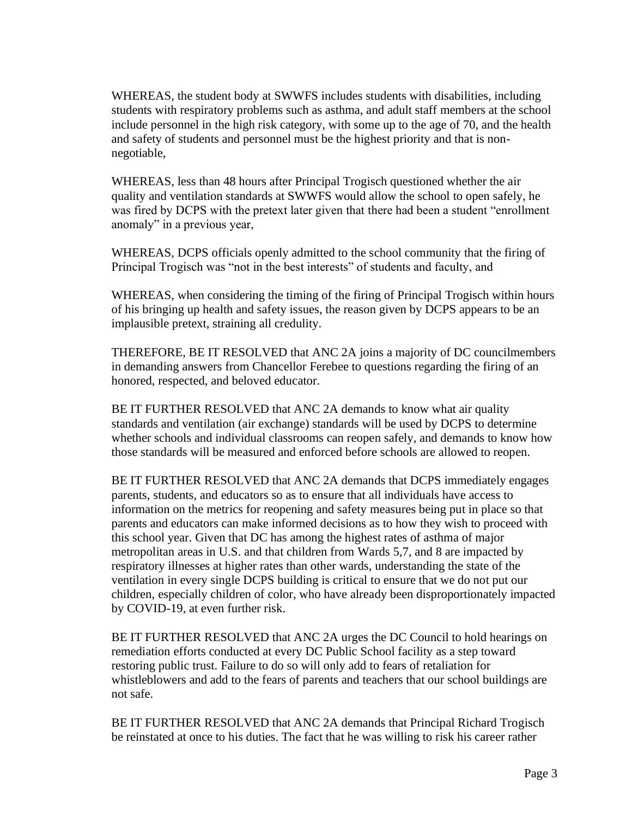WHEREAS, the student body at SWWFS includes students with disabilities, including students with respiratory problems such as asthma, and adult staff members at the school include personnel in the high risk category, with some up to the age of 70, and the health and safety of students and personnel must be the highest priority and that is nonnegotiable,

WHEREAS, less than 48 hours after Principal Trogisch questioned whether the air quality and ventilation standards at SWWFS would allow the school to open safely, he was fired by DCPS with the pretext later given that there had been a student "enrollment anomaly" in a previous year,

WHEREAS, DCPS officials openly admitted to the school community that the firing of Principal Trogisch was "not in the best interests" of students and faculty, and

WHEREAS, when considering the timing of the firing of Principal Trogisch within hours of his bringing up health and safety issues, the reason given by DCPS appears to be an implausible pretext, straining all credulity.

THEREFORE, BE IT RESOLVED that ANC 2A joins a majority of DC councilmembers in demanding answers from Chancellor Ferebee to questions regarding the firing of an honored, respected, and beloved educator.

BE IT FURTHER RESOLVED that ANC 2A demands to know what air quality standards and ventilation (air exchange) standards will be used by DCPS to determine whether schools and individual classrooms can reopen safely, and demands to know how those standards will be measured and enforced before schools are allowed to reopen.

BE IT FURTHER RESOLVED that ANC 2A demands that DCPS immediately engages parents, students, and educators so as to ensure that all individuals have access to information on the metrics for reopening and safety measures being put in place so that parents and educators can make informed decisions as to how they wish to proceed with this school year. Given that DC has among the highest rates of asthma of major metropolitan areas in U.S. and that children from Wards 5,7, and 8 are impacted by respiratory illnesses at higher rates than other wards, understanding the state of the ventilation in every single DCPS building is critical to ensure that we do not put our children, especially children of color, who have already been disproportionately impacted by COVID-19, at even further risk.

BE IT FURTHER RESOLVED that ANC 2A urges the DC Council to hold hearings on remediation efforts conducted at every DC Public School facility as a step toward restoring public trust. Failure to do so will only add to fears of retaliation for whistleblowers and add to the fears of parents and teachers that our school buildings are not safe.

BE IT FURTHER RESOLVED that ANC 2A demands that Principal Richard Trogisch be reinstated at once to his duties. The fact that he was willing to risk his career rather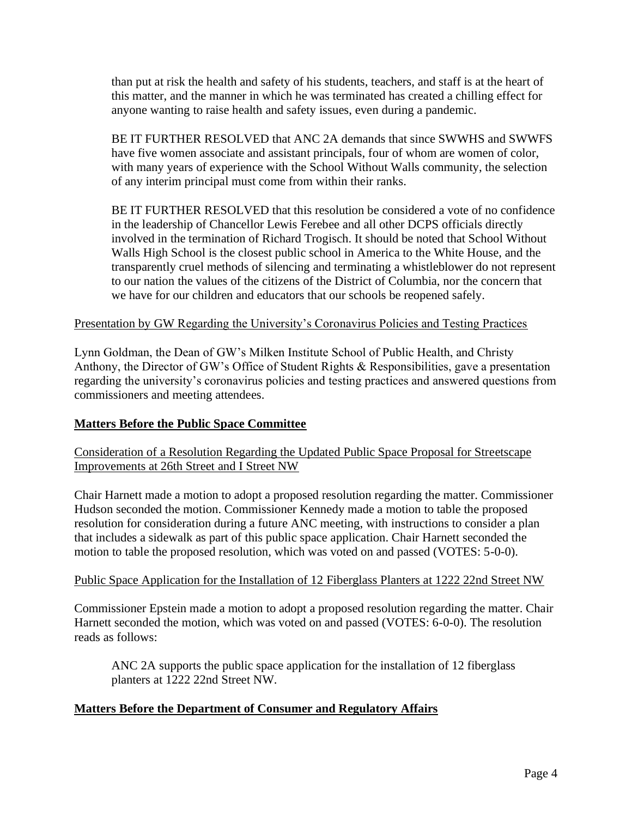than put at risk the health and safety of his students, teachers, and staff is at the heart of this matter, and the manner in which he was terminated has created a chilling effect for anyone wanting to raise health and safety issues, even during a pandemic.

BE IT FURTHER RESOLVED that ANC 2A demands that since SWWHS and SWWFS have five women associate and assistant principals, four of whom are women of color, with many years of experience with the School Without Walls community, the selection of any interim principal must come from within their ranks.

BE IT FURTHER RESOLVED that this resolution be considered a vote of no confidence in the leadership of Chancellor Lewis Ferebee and all other DCPS officials directly involved in the termination of Richard Trogisch. It should be noted that School Without Walls High School is the closest public school in America to the White House, and the transparently cruel methods of silencing and terminating a whistleblower do not represent to our nation the values of the citizens of the District of Columbia, nor the concern that we have for our children and educators that our schools be reopened safely.

### Presentation by GW Regarding the University's Coronavirus Policies and Testing Practices

Lynn Goldman, the Dean of GW's Milken Institute School of Public Health, and Christy Anthony, the Director of GW's Office of Student Rights & Responsibilities, gave a presentation regarding the university's coronavirus policies and testing practices and answered questions from commissioners and meeting attendees.

### **Matters Before the Public Space Committee**

# Consideration of a Resolution Regarding the Updated Public Space Proposal for Streetscape Improvements at 26th Street and I Street NW

Chair Harnett made a motion to adopt a proposed resolution regarding the matter. Commissioner Hudson seconded the motion. Commissioner Kennedy made a motion to table the proposed resolution for consideration during a future ANC meeting, with instructions to consider a plan that includes a sidewalk as part of this public space application. Chair Harnett seconded the motion to table the proposed resolution, which was voted on and passed (VOTES: 5-0-0).

### Public Space Application for the Installation of 12 Fiberglass Planters at 1222 22nd Street NW

Commissioner Epstein made a motion to adopt a proposed resolution regarding the matter. Chair Harnett seconded the motion, which was voted on and passed (VOTES: 6-0-0). The resolution reads as follows:

ANC 2A supports the public space application for the installation of 12 fiberglass planters at 1222 22nd Street NW.

# **Matters Before the Department of Consumer and Regulatory Affairs**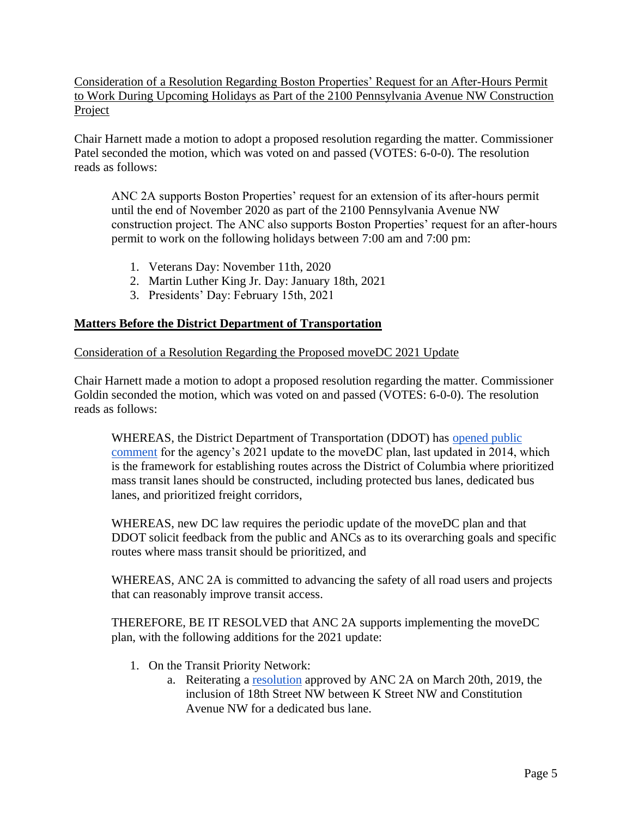Consideration of a Resolution Regarding Boston Properties' Request for an After-Hours Permit to Work During Upcoming Holidays as Part of the 2100 Pennsylvania Avenue NW Construction Project

Chair Harnett made a motion to adopt a proposed resolution regarding the matter. Commissioner Patel seconded the motion, which was voted on and passed (VOTES: 6-0-0). The resolution reads as follows:

ANC 2A supports Boston Properties' request for an extension of its after-hours permit until the end of November 2020 as part of the 2100 Pennsylvania Avenue NW construction project. The ANC also supports Boston Properties' request for an after-hours permit to work on the following holidays between 7:00 am and 7:00 pm:

- 1. Veterans Day: November 11th, 2020
- 2. Martin Luther King Jr. Day: January 18th, 2021
- 3. Presidents' Day: February 15th, 2021

# **Matters Before the District Department of Transportation**

# Consideration of a Resolution Regarding the Proposed moveDC 2021 Update

Chair Harnett made a motion to adopt a proposed resolution regarding the matter. Commissioner Goldin seconded the motion, which was voted on and passed (VOTES: 6-0-0). The resolution reads as follows:

WHEREAS, the Di[s](https://movedc-dcgis.hub.arcgis.com/)trict Department of Transportation (DDOT) has opened public [comment](https://movedc-dcgis.hub.arcgis.com/) for the agency's 2021 update to the moveDC plan, last updated in 2014, which is the framework for establishing routes across the District of Columbia where prioritized mass transit lanes should be constructed, including protected bus lanes, dedicated bus lanes, and prioritized freight corridors,

WHEREAS, new DC law requires the periodic update of the moveDC plan and that DDOT solicit feedback from the public and ANCs as to its overarching goals and specific routes where mass transit should be prioritized, and

WHEREAS, ANC 2A is committed to advancing the safety of all road users and projects that can reasonably improve transit access.

THEREFORE, BE IT RESOLVED that ANC 2A supports implementing the moveDC plan, with the following additions for the 2021 update:

- 1. On the Transit Priority Network:
	- a. Reiterating [a](https://bd464bcc-f588-48fb-8882-8d70c4a297c7.filesusr.com/ugd/554760_02a45624df544168894c1aca1c416d60.pdf) [resolution](https://bd464bcc-f588-48fb-8882-8d70c4a297c7.filesusr.com/ugd/554760_02a45624df544168894c1aca1c416d60.pdf) approved by ANC 2A on March 20th, 2019, the inclusion of 18th Street NW between K Street NW and Constitution Avenue NW for a dedicated bus lane.